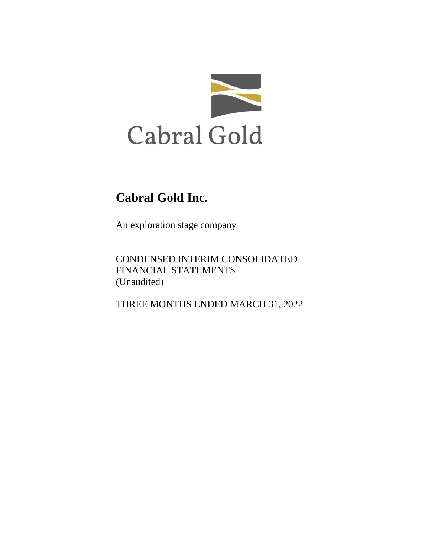

An exploration stage company

CONDENSED INTERIM CONSOLIDATED FINANCIAL STATEMENTS (Unaudited)

THREE MONTHS ENDED MARCH 31, 2022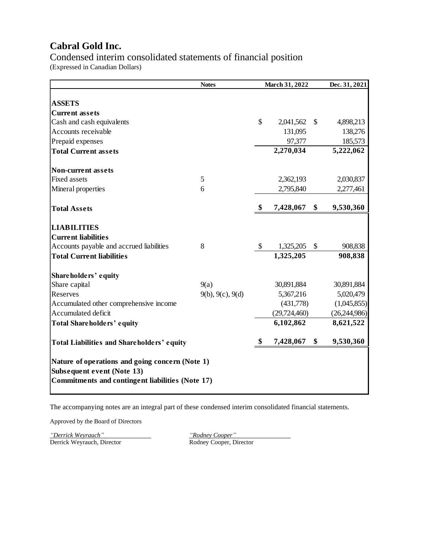Condensed interim consolidated statements of financial position (Expressed in Canadian Dollars)

|                                                                                                                                   | <b>Notes</b>     |                    | March 31, 2022      |    | Dec. 31, 2021        |
|-----------------------------------------------------------------------------------------------------------------------------------|------------------|--------------------|---------------------|----|----------------------|
|                                                                                                                                   |                  |                    |                     |    |                      |
| <b>ASSETS</b><br><b>Current assets</b>                                                                                            |                  |                    |                     |    |                      |
| Cash and cash equivalents                                                                                                         |                  | $\mathbf{\hat{S}}$ | 2,041,562           | -S | 4,898,213            |
| Accounts receivable                                                                                                               |                  |                    | 131,095             |    | 138,276              |
|                                                                                                                                   |                  |                    |                     |    |                      |
| Prepaid expenses                                                                                                                  |                  |                    | 97,377<br>2,270,034 |    | 185,573<br>5,222,062 |
| <b>Total Current assets</b>                                                                                                       |                  |                    |                     |    |                      |
| <b>Non-current assets</b>                                                                                                         |                  |                    |                     |    |                      |
| <b>Fixed assets</b>                                                                                                               | 5                |                    | 2,362,193           |    | 2,030,837            |
| Mineral properties                                                                                                                | 6                |                    | 2,795,840           |    | 2,277,461            |
| <b>Total Assets</b>                                                                                                               |                  | \$                 | 7,428,067           | \$ | 9,530,360            |
| <b>LIABILITIES</b>                                                                                                                |                  |                    |                     |    |                      |
| <b>Current liabilities</b>                                                                                                        |                  |                    |                     |    |                      |
| Accounts payable and accrued liabilities                                                                                          | 8                | \$                 | 1,325,205           | \$ | 908,838              |
| <b>Total Current liabilities</b>                                                                                                  |                  |                    | 1,325,205           |    | 908,838              |
| Shareholders' equity                                                                                                              |                  |                    |                     |    |                      |
| Share capital                                                                                                                     | 9(a)             |                    | 30,891,884          |    | 30,891,884           |
| Reserves                                                                                                                          | 9(b), 9(c), 9(d) |                    | 5,367,216           |    | 5,020,479            |
| Accumulated other comprehensive income                                                                                            |                  |                    | (431,778)           |    | (1,045,855)          |
| Accumulated deficit                                                                                                               |                  |                    | (29, 724, 460)      |    | (26, 244, 986)       |
| Total Shareholders' equity                                                                                                        |                  |                    | 6,102,862           |    | 8,621,522            |
| Total Liabilities and Shareholders' equity                                                                                        |                  | \$                 | 7,428,067           | \$ | 9,530,360            |
| Nature of operations and going concern (Note 1)<br>Subsequent event (Note 13)<br>Commitments and contingent liabilities (Note 17) |                  |                    |                     |    |                      |

The accompanying notes are an integral part of these condensed interim consolidated financial statements.

Approved by the Board of Directors

*"Derrick Weyrauch" "Rodney Cooper"* Derrick Weyrauch, Director Rodney Cooper, Director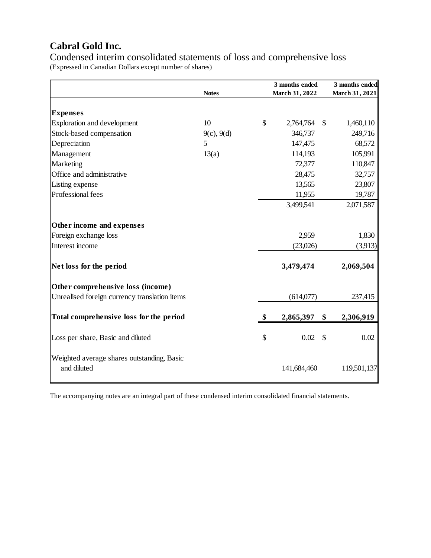Condensed interim consolidated statements of loss and comprehensive loss (Expressed in Canadian Dollars except number of shares)

|                                                           | <b>Notes</b> | 3 months ended<br>March 31, 2022 | 3 months ended |
|-----------------------------------------------------------|--------------|----------------------------------|----------------|
|                                                           |              |                                  | March 31, 2021 |
| <b>Expenses</b>                                           |              |                                  |                |
| Exploration and development                               | 10           | \$<br>2,764,764<br>$\mathbb{S}$  | 1,460,110      |
| Stock-based compensation                                  | 9(c), 9(d)   | 346,737                          | 249,716        |
| Depreciation                                              | 5            | 147,475                          | 68,572         |
| Management                                                | 13(a)        | 114,193                          | 105,991        |
| Marketing                                                 |              | 72,377                           | 110,847        |
| Office and administrative                                 |              | 28,475                           | 32,757         |
| Listing expense                                           |              | 13,565                           | 23,807         |
| Professional fees                                         |              | 11,955                           | 19,787         |
|                                                           |              | 3,499,541                        | 2,071,587      |
|                                                           |              |                                  |                |
| Other income and expenses                                 |              |                                  |                |
| Foreign exchange loss                                     |              | 2,959                            | 1,830          |
| Interest income                                           |              | (23,026)                         | (3,913)        |
|                                                           |              |                                  |                |
| Net loss for the period                                   |              | 3,479,474                        | 2,069,504      |
|                                                           |              |                                  |                |
| Other comprehensive loss (income)                         |              |                                  |                |
| Unrealised foreign currency translation items             |              | (614,077)                        | 237,415        |
| Total comprehensive loss for the period                   |              | \$<br>\$<br>2,865,397            | 2,306,919      |
| Loss per share, Basic and diluted                         |              | \$<br>0.02<br>$\mathcal{S}$      | 0.02           |
|                                                           |              |                                  |                |
| Weighted average shares outstanding, Basic<br>and diluted |              | 141,684,460                      | 119,501,137    |

The accompanying notes are an integral part of these condensed interim consolidated financial statements.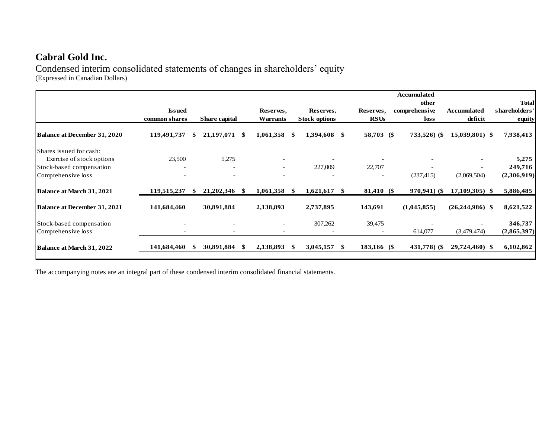Condensed interim consolidated statements of changes in shareholders' equity (Expressed in Canadian Dollars)

|                                     |                          |     |               |     |                          | <b>Accumulated</b> |                      |  |             |  |                |                   |               |
|-------------------------------------|--------------------------|-----|---------------|-----|--------------------------|--------------------|----------------------|--|-------------|--|----------------|-------------------|---------------|
|                                     |                          |     |               |     |                          |                    |                      |  |             |  | other          |                   | <b>Total</b>  |
|                                     | <b>Issued</b>            |     |               |     | Reserves,                |                    | Reserves,            |  | Reserves,   |  | comprehensive  | Accumulated       | shareholders' |
|                                     | common shares            |     | Share capital |     | <b>Warrants</b>          |                    | <b>Stock options</b> |  | <b>RSUs</b> |  | loss           | deficit           | equity        |
| <b>Balance at December 31, 2020</b> | 119,491,737              | \$. | 21,197,071    | -S  | 1,061,358                | -S                 | 1,394,608 \$         |  | 58,703 (\$  |  | $733,526$ (\$) | $15,039,801$ \$   | 7,938,413     |
| Shares issued for cash:             |                          |     |               |     |                          |                    |                      |  |             |  |                |                   |               |
| Exercise of stock options           | 23,500                   |     | 5,275         |     |                          |                    |                      |  |             |  |                |                   | 5,275         |
| Stock-based compensation            | $\overline{\phantom{0}}$ |     |               |     | $\overline{\phantom{a}}$ |                    | 227,009              |  | 22,707      |  |                |                   | 249,716       |
| Comprehensive loss                  |                          |     |               |     |                          |                    |                      |  |             |  | (237, 415)     | (2,069,504)       | (2,306,919)   |
| Balance at March 31, 2021           | 119,515,237              | -8  | 21,202,346    | -86 | 1,061,358                | - SS               | $1,621,617$ \$       |  | 81,410 (\$  |  | $970,941$ (\$) | 17,109,305) \$    | 5,886,485     |
| <b>Balance at December 31, 2021</b> | 141,684,460              |     | 30,891,884    |     | 2,138,893                |                    | 2,737,895            |  | 143,691     |  | (1,045,855)    | $(26,244,986)$ \$ | 8,621,522     |
| Stock-based compensation            |                          |     |               |     |                          |                    | 307,262              |  | 39,475      |  |                |                   | 346,737       |
| Comprehensive loss                  | $\sim$                   |     |               |     |                          |                    |                      |  |             |  | 614,077        | (3,479,474)       | (2,865,397)   |
| Balance at March 31, 2022           | 141,684,460              |     | 30,891,884    | \$. | 2,138,893                | -SS                | 3,045,157            |  | 183,166 (\$ |  | 431,778) (\$   | 29,724,460) \$    | 6,102,862     |

The accompanying notes are an integral part of these condensed interim consolidated financial statements.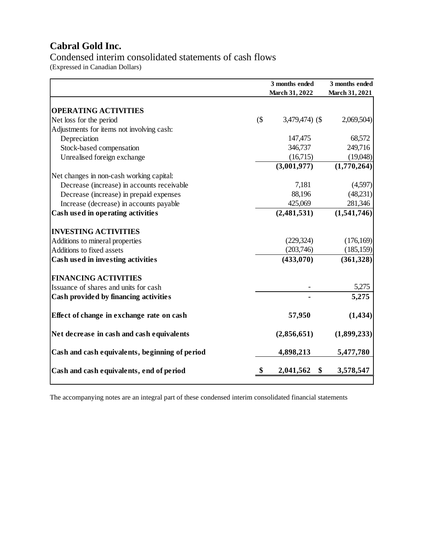Condensed interim consolidated statements of cash flows (Expressed in Canadian Dollars)

|                                                |        | 3 months ended<br>March 31, 2022 | 3 months ended<br>March 31, 2021 |
|------------------------------------------------|--------|----------------------------------|----------------------------------|
| <b>OPERATING ACTIVITIES</b>                    |        |                                  |                                  |
| Net loss for the period                        | $($ \$ | $3,479,474$ ) (\$                | 2,069,504)                       |
| Adjustments for items not involving cash:      |        |                                  |                                  |
| Depreciation                                   |        | 147,475                          | 68,572                           |
| Stock-based compensation                       |        | 346,737                          | 249,716                          |
| Unrealised foreign exchange                    |        | (16,715)                         | (19,048)                         |
|                                                |        | (3,001,977)                      | $\overline{(1,770,264)}$         |
| Net changes in non-cash working capital:       |        |                                  |                                  |
| Decrease (increase) in accounts receivable     |        | 7,181                            | (4,597)                          |
| Decrease (increase) in prepaid expenses        |        | 88,196                           | (48,231)                         |
| Increase (decrease) in accounts payable        |        | 425,069                          | 281,346                          |
| Cash used in operating activities              |        | (2,481,531)                      | (1,541,746)                      |
| <b>INVESTING ACTIVITIES</b>                    |        |                                  |                                  |
| Additions to mineral properties                |        | (229, 324)                       | (176, 169)                       |
| Additions to fixed assets                      |        | (203,746)                        | (185, 159)                       |
| Cash used in investing activities              |        | (433,070)                        | (361, 328)                       |
| <b>FINANCING ACTIVITIES</b>                    |        |                                  |                                  |
| Issuance of shares and units for cash          |        |                                  | 5,275                            |
| Cash provided by financing activities          |        |                                  | 5,275                            |
| Effect of change in exchange rate on cash      |        | 57,950                           | (1, 434)                         |
| Net decrease in cash and cash equivalents      |        | (2,856,651)                      | (1,899,233)                      |
| Cash and cash equivalents, beginning of period |        | 4,898,213                        | 5,477,780                        |
| Cash and cash equivalents, end of period       | S      | 2,041,562<br>\$                  | 3,578,547                        |

The accompanying notes are an integral part of these condensed interim consolidated financial statements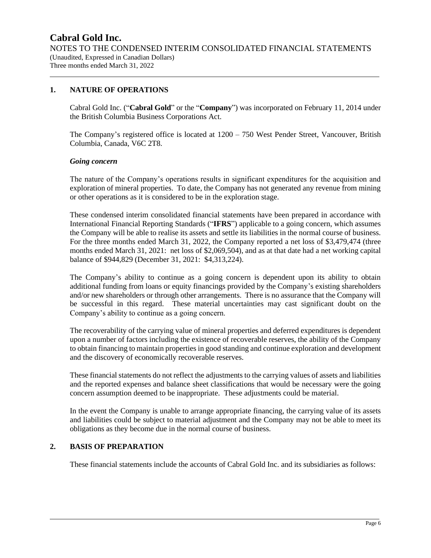## **1. NATURE OF OPERATIONS**

Cabral Gold Inc. ("**Cabral Gold**" or the "**Company**") was incorporated on February 11, 2014 under the British Columbia Business Corporations Act.

The Company's registered office is located at 1200 – 750 West Pender Street, Vancouver, British Columbia, Canada, V6C 2T8.

#### *Going concern*

The nature of the Company's operations results in significant expenditures for the acquisition and exploration of mineral properties. To date, the Company has not generated any revenue from mining or other operations as it is considered to be in the exploration stage.

These condensed interim consolidated financial statements have been prepared in accordance with International Financial Reporting Standards ("**IFRS**") applicable to a going concern, which assumes the Company will be able to realise its assets and settle its liabilities in the normal course of business. For the three months ended March 31, 2022, the Company reported a net loss of \$3,479,474 (three months ended March 31, 2021: net loss of \$2,069,504), and as at that date had a net working capital balance of \$944,829 (December 31, 2021: \$4,313,224).

The Company's ability to continue as a going concern is dependent upon its ability to obtain additional funding from loans or equity financings provided by the Company's existing shareholders and/or new shareholders or through other arrangements. There is no assurance that the Company will be successful in this regard. These material uncertainties may cast significant doubt on the Company's ability to continue as a going concern.

The recoverability of the carrying value of mineral properties and deferred expenditures is dependent upon a number of factors including the existence of recoverable reserves, the ability of the Company to obtain financing to maintain properties in good standing and continue exploration and development and the discovery of economically recoverable reserves.

These financial statements do not reflect the adjustments to the carrying values of assets and liabilities and the reported expenses and balance sheet classifications that would be necessary were the going concern assumption deemed to be inappropriate. These adjustments could be material.

In the event the Company is unable to arrange appropriate financing, the carrying value of its assets and liabilities could be subject to material adjustment and the Company may not be able to meet its obligations as they become due in the normal course of business.

### **2. BASIS OF PREPARATION**

These financial statements include the accounts of Cabral Gold Inc. and its subsidiaries as follows: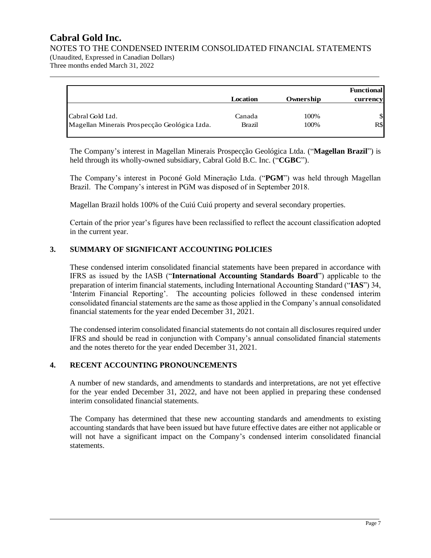NOTES TO THE CONDENSED INTERIM CONSOLIDATED FINANCIAL STATEMENTS

(Unaudited, Expressed in Canadian Dollars) Three months ended March 31, 2022

|                                              |          |           | <b>Functional</b> |
|----------------------------------------------|----------|-----------|-------------------|
|                                              | Location | Ownership | currency          |
| Cabral Gold Ltd.                             | Canada   | 100%      | \$                |
| Magellan Minerais Prospecção Geológica Ltda. | Brazil   | 100%      | R\$               |

The Company's interest in Magellan Minerais Prospecção Geológica Ltda. ("**Magellan Brazil**") is held through its wholly-owned subsidiary, Cabral Gold B.C. Inc. ("**CGBC**").

The Company's interest in Poconé Gold Mineração Ltda. ("**PGM**") was held through Magellan Brazil. The Company's interest in PGM was disposed of in September 2018.

Magellan Brazil holds 100% of the Cuiú Cuiú property and several secondary properties.

Certain of the prior year's figures have been reclassified to reflect the account classification adopted in the current year.

## **3. SUMMARY OF SIGNIFICANT ACCOUNTING POLICIES**

These condensed interim consolidated financial statements have been prepared in accordance with IFRS as issued by the IASB ("**International Accounting Standards Board**") applicable to the preparation of interim financial statements, including International Accounting Standard ("**IAS**") 34, 'Interim Financial Reporting'. The accounting policies followed in these condensed interim consolidated financial statements are the same as those applied in the Company's annual consolidated financial statements for the year ended December 31, 2021.

The condensed interim consolidated financial statements do not contain all disclosures required under IFRS and should be read in conjunction with Company's annual consolidated financial statements and the notes thereto for the year ended December 31, 2021.

## **4. RECENT ACCOUNTING PRONOUNCEMENTS**

A number of new standards, and amendments to standards and interpretations, are not yet effective for the year ended December 31, 2022, and have not been applied in preparing these condensed interim consolidated financial statements.

The Company has determined that these new accounting standards and amendments to existing accounting standards that have been issued but have future effective dates are either not applicable or will not have a significant impact on the Company's condensed interim consolidated financial statements.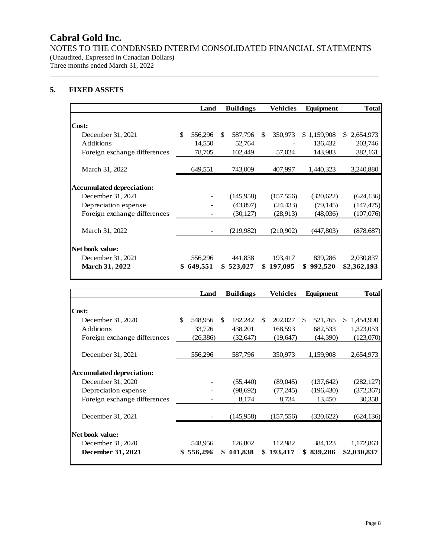NOTES TO THE CONDENSED INTERIM CONSOLIDATED FINANCIAL STATEMENTS (Unaudited, Expressed in Canadian Dollars) Three months ended March 31, 2022

## **5. FIXED ASSETS**

|                                  | Land          |               | <b>Buildings</b> |    | Vehicles   | Equipment   | <b>Total</b> |
|----------------------------------|---------------|---------------|------------------|----|------------|-------------|--------------|
|                                  |               |               |                  |    |            |             |              |
| Cost:                            |               |               |                  |    |            |             |              |
| December 31, 2021                | \$<br>556,296 | <sup>\$</sup> | 587,796          | -S | 350,973    | \$1,159,908 | \$2,654,973  |
| Additions                        | 14,550        |               | 52,764           |    |            | 136,432     | 203,746      |
| Foreign exchange differences     | 78,705        |               | 102,449          |    | 57,024     | 143,983     | 382,161      |
|                                  |               |               |                  |    |            |             |              |
| March 31, 2022                   | 649,551       |               | 743,009          |    | 407,997    | 1,440,323   | 3,240,880    |
|                                  |               |               |                  |    |            |             |              |
| <b>Accumulated depreciation:</b> |               |               |                  |    |            |             |              |
| December 31, 2021                |               |               | (145,958)        |    | (157, 556) | (320, 622)  | (624, 136)   |
| Depreciation expense             |               |               | (43,897)         |    | (24, 433)  | (79, 145)   | (147, 475)   |
| Foreign exchange differences     |               |               | (30, 127)        |    | (28,913)   | (48,036)    | (107,076)    |
|                                  |               |               |                  |    |            |             |              |
| March 31, 2022                   |               |               | (219,982)        |    | (210,902)  | (447,803)   | (878, 687)   |
|                                  |               |               |                  |    |            |             |              |
| Net book value:                  |               |               |                  |    |            |             |              |
| December 31, 2021                | 556,296       |               | 441,838          |    | 193,417    | 839,286     | 2,030,837    |
| <b>March 31, 2022</b>            | \$649,551     |               | \$523,027        |    | \$197,095  | \$992,520   | \$2,362,193  |
|                                  |               |               |                  |    |            |             |              |

|                                  | Land          | <b>Buildings</b> |               | Vehicles   |               | Equipment  |    | <b>Total</b> |
|----------------------------------|---------------|------------------|---------------|------------|---------------|------------|----|--------------|
|                                  |               |                  |               |            |               |            |    |              |
| Cost:                            |               |                  |               |            |               |            |    |              |
| December 31, 2020                | \$<br>548,956 | \$<br>182,242    | <sup>\$</sup> | 202,027    | <sup>\$</sup> | 521,765    | S. | 1,454,990    |
| Additions                        | 33,726        | 438,201          |               | 168,593    |               | 682,533    |    | 1,323,053    |
| Foreign exchange differences     | (26, 386)     | (32, 647)        |               | (19,647)   |               | (44,390)   |    | (123,070)    |
|                                  |               |                  |               |            |               |            |    |              |
| December 31, 2021                | 556,296       | 587,796          |               | 350,973    |               | 1,159,908  |    | 2,654,973    |
|                                  |               |                  |               |            |               |            |    |              |
| <b>Accumulated depreciation:</b> |               |                  |               |            |               |            |    |              |
| December 31, 2020                |               | (55,440)         |               | (89,045)   |               | (137, 642) |    | (282, 127)   |
| Depreciation expense             |               | (98, 692)        |               | (77,245)   |               | (196, 430) |    | (372, 367)   |
| Foreign exchange differences     |               | 8,174            |               | 8,734      |               | 13,450     |    | 30,358       |
|                                  |               |                  |               |            |               |            |    |              |
| December 31, 2021                |               | (145,958)        |               | (157, 556) |               | (320,622)  |    | (624, 136)   |
|                                  |               |                  |               |            |               |            |    |              |
| Net book value:                  |               |                  |               |            |               |            |    |              |
| December 31, 2020                | 548,956       | 126,802          |               | 112,982    |               | 384,123    |    | 1,172,863    |
| December 31, 2021                | \$556,296     | \$441,838        |               | \$193,417  |               | \$839,286  |    | \$2,030,837  |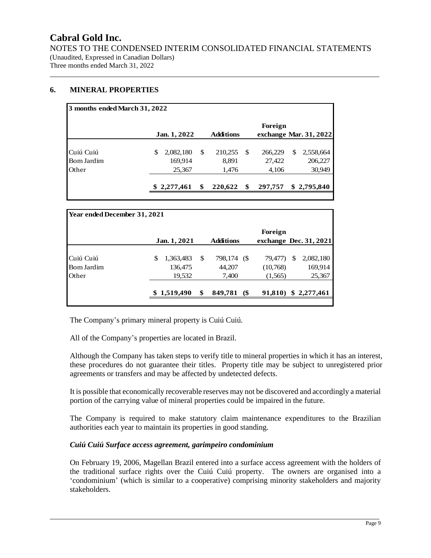NOTES TO THE CONDENSED INTERIM CONSOLIDATED FINANCIAL STATEMENTS (Unaudited, Expressed in Canadian Dollars) Three months ended March 31, 2022

## **6. MINERAL PROPERTIES**

| 3 months ended March 31, 2022 |              |                  |               |                        |
|-------------------------------|--------------|------------------|---------------|------------------------|
|                               |              |                  | Foreign       |                        |
|                               | Jan. 1, 2022 | <b>Additions</b> |               | exchange Mar. 31, 2022 |
| Cuiú Cuiú                     | 2,082,180    | \$<br>210,255    | \$<br>266,229 | \$<br>2,558,664        |
| Bom Jardim                    | 169,914      | 8,891            | 27,422        | 206,227                |
| Other                         | 25,367       | 1,476            | 4,106         | 30,949                 |
|                               | \$2,277,461  | 220,622          | \$<br>297,757 | \$2,795,840            |

| Year ended December 31, 2021 |                 |                  |                              |          |   |                          |
|------------------------------|-----------------|------------------|------------------------------|----------|---|--------------------------|
|                              |                 |                  |                              | Foreign  |   |                          |
|                              | Jan. 1, 2021    | <b>Additions</b> |                              |          |   | exchange Dec. $31, 2021$ |
| Cuiú Cuiú                    | 1,363,483<br>\$ | \$<br>798,174    | $\left( \mathcal{S} \right)$ | 79,477)  | S | 2,082,180                |
| Bom Jardim                   | 136,475         | 44,207           |                              | (10,768) |   | 169,914                  |
| <b>Other</b>                 | 19,532          | 7,400            |                              | (1,565)  |   | 25,367                   |
|                              | \$1,519,490     | 849,781          | $($ \$                       | 91,810)  |   | \$2,277,461              |

The Company's primary mineral property is Cuiú Cuiú.

All of the Company's properties are located in Brazil.

Although the Company has taken steps to verify title to mineral properties in which it has an interest, these procedures do not guarantee their titles. Property title may be subject to unregistered prior agreements or transfers and may be affected by undetected defects.

It is possible that economically recoverable reserves may not be discovered and accordingly a material portion of the carrying value of mineral properties could be impaired in the future.

The Company is required to make statutory claim maintenance expenditures to the Brazilian authorities each year to maintain its properties in good standing.

### *Cuiú Cuiú Surface access agreement, garimpeiro condominium*

On February 19, 2006, Magellan Brazil entered into a surface access agreement with the holders of the traditional surface rights over the Cuiú Cuiú property. The owners are organised into a 'condominium' (which is similar to a cooperative) comprising minority stakeholders and majority stakeholders.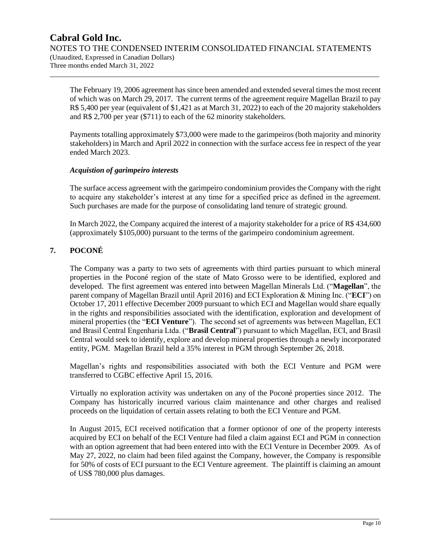The February 19, 2006 agreement has since been amended and extended several times the most recent of which was on March 29, 2017. The current terms of the agreement require Magellan Brazil to pay R\$ 5,400 per year (equivalent of \$1,421 as at March 31, 2022) to each of the 20 majority stakeholders and R\$ 2,700 per year (\$711) to each of the 62 minority stakeholders.

Payments totalling approximately \$73,000 were made to the garimpeiros (both majority and minority stakeholders) in March and April 2022 in connection with the surface access fee in respect of the year ended March 2023.

## *Acquistion of garimpeiro interests*

The surface access agreement with the garimpeiro condominium provides the Company with the right to acquire any stakeholder's interest at any time for a specified price as defined in the agreement. Such purchases are made for the purpose of consolidating land tenure of strategic ground.

In March 2022, the Company acquired the interest of a majority stakeholder for a price of R\$ 434,600 (approximately \$105,000) pursuant to the terms of the garimpeiro condominium agreement.

## **7. POCONÉ**

The Company was a party to two sets of agreements with third parties pursuant to which mineral properties in the Poconé region of the state of Mato Grosso were to be identified, explored and developed. The first agreement was entered into between Magellan Minerals Ltd. ("**Magellan**", the parent company of Magellan Brazil until April 2016) and ECI Exploration & Mining Inc. ("**ECI**") on October 17, 2011 effective December 2009 pursuant to which ECI and Magellan would share equally in the rights and responsibilities associated with the identification, exploration and development of mineral properties (the "**ECI Venture**"). The second set of agreements was between Magellan, ECI and Brasil Central Engenharia Ltda. ("**Brasil Central**") pursuant to which Magellan, ECI, and Brasil Central would seek to identify, explore and develop mineral properties through a newly incorporated entity, PGM. Magellan Brazil held a 35% interest in PGM through September 26, 2018.

Magellan's rights and responsibilities associated with both the ECI Venture and PGM were transferred to CGBC effective April 15, 2016.

Virtually no exploration activity was undertaken on any of the Poconé properties since 2012. The Company has historically incurred various claim maintenance and other charges and realised proceeds on the liquidation of certain assets relating to both the ECI Venture and PGM.

In August 2015, ECI received notification that a former optionor of one of the property interests acquired by ECI on behalf of the ECI Venture had filed a claim against ECI and PGM in connection with an option agreement that had been entered into with the ECI Venture in December 2009. As of May 27, 2022, no claim had been filed against the Company, however, the Company is responsible for 50% of costs of ECI pursuant to the ECI Venture agreement. The plaintiff is claiming an amount of US\$ 780,000 plus damages.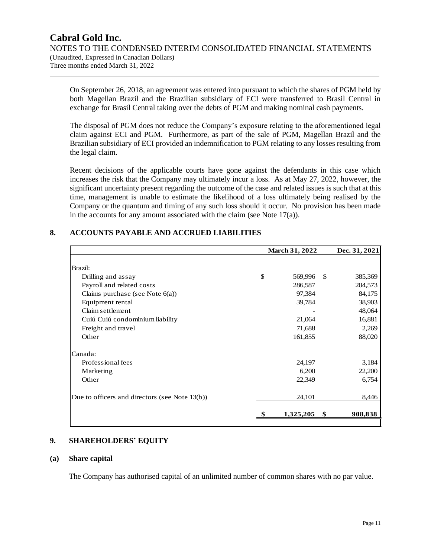On September 26, 2018, an agreement was entered into pursuant to which the shares of PGM held by both Magellan Brazil and the Brazilian subsidiary of ECI were transferred to Brasil Central in exchange for Brasil Central taking over the debts of PGM and making nominal cash payments.

The disposal of PGM does not reduce the Company's exposure relating to the aforementioned legal claim against ECI and PGM. Furthermore, as part of the sale of PGM, Magellan Brazil and the Brazilian subsidiary of ECI provided an indemnification to PGM relating to any losses resulting from the legal claim.

Recent decisions of the applicable courts have gone against the defendants in this case which increases the risk that the Company may ultimately incur a loss. As at May 27, 2022, however, the significant uncertainty present regarding the outcome of the case and related issues is such that at this time, management is unable to estimate the likelihood of a loss ultimately being realised by the Company or the quantum and timing of any such loss should it occur. No provision has been made in the accounts for any amount associated with the claim (see Note 17(a)).

| \$<br>569,996<br>286,587<br>97,384 | -S | 385,369 |
|------------------------------------|----|---------|
|                                    |    |         |
|                                    |    |         |
|                                    |    | 204,573 |
|                                    |    | 84,175  |
| 39,784                             |    | 38,903  |
|                                    |    | 48,064  |
| 21,064                             |    | 16,881  |
| 71,688                             |    | 2,269   |
| 161,855                            |    | 88,020  |
|                                    |    |         |
| 24,197                             |    | 3,184   |
| 6,200                              |    | 22,200  |
| 22,349                             |    | 6,754   |
| 24,101                             |    | 8,446   |
| 1,325,205                          | \$ | 908,838 |
|                                    |    |         |

## **8. ACCOUNTS PAYABLE AND ACCRUED LIABILITIES**

### **9. SHAREHOLDERS' EQUITY**

#### **(a) Share capital**

The Company has authorised capital of an unlimited number of common shares with no par value.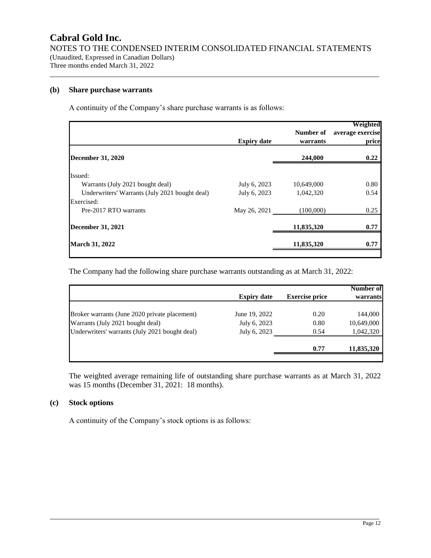### **(b) Share purchase warrants**

A continuity of the Company's share purchase warrants is as follows:

|                                                | <b>Expiry date</b> | Number of<br>warrants | Weighted<br>average exercise<br>price |
|------------------------------------------------|--------------------|-----------------------|---------------------------------------|
| <b>December 31, 2020</b>                       |                    | 244,000               | 0.22                                  |
| Issued:                                        |                    |                       |                                       |
| Warrants (July 2021 bought deal)               | July 6, 2023       | 10,649,000            | 0.80                                  |
| Underwriters' Warrants (July 2021 bought deal) | July 6, 2023       | 1,042,320             | 0.54                                  |
| Exercised:                                     |                    |                       |                                       |
| Pre-2017 RTO warrants                          | May 26, 2021       | (100,000)             | 0.25                                  |
| <b>December 31, 2021</b>                       |                    | 11,835,320            | 0.77                                  |
| <b>March 31, 2022</b>                          |                    | 11,835,320            | 0.77                                  |

The Company had the following share purchase warrants outstanding as at March 31, 2022:

| <b>Expiry date</b> | <b>Exercise price</b> | Number of<br>warrants |
|--------------------|-----------------------|-----------------------|
| June 19, 2022      | 0.20                  | 144,000               |
| July 6, 2023       | 0.80                  | 10,649,000            |
| July 6, 2023       | 0.54                  | 1,042,320             |
|                    | 0.77                  | 11,835,320            |
|                    |                       |                       |

The weighted average remaining life of outstanding share purchase warrants as at March 31, 2022 was 15 months (December 31, 2021: 18 months).

### **(c) Stock options**

A continuity of the Company's stock options is as follows: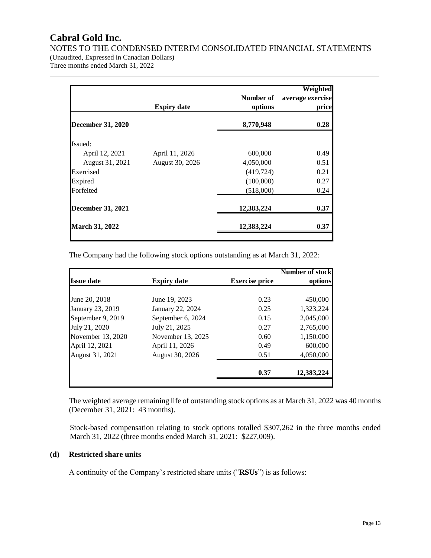NOTES TO THE CONDENSED INTERIM CONSOLIDATED FINANCIAL STATEMENTS

(Unaudited, Expressed in Canadian Dollars) Three months ended March 31, 2022

| <b>Expiry date</b> | Number of<br>options | Weighted<br>average exercise<br>price |
|--------------------|----------------------|---------------------------------------|
|                    | 8,770,948            | 0.28                                  |
|                    |                      |                                       |
| April 11, 2026     | 600,000              | 0.49                                  |
| August 30, 2026    | 4,050,000            | 0.51                                  |
|                    | (419, 724)           | 0.21                                  |
|                    | (100,000)            | 0.27                                  |
|                    | (518,000)            | 0.24                                  |
|                    | 12,383,224           | 0.37                                  |
|                    | 12,383,224           | 0.37                                  |
|                    |                      |                                       |

The Company had the following stock options outstanding as at March 31, 2022:

|                   |                    |                       | <b>Number of stock</b> |
|-------------------|--------------------|-----------------------|------------------------|
| <b>Issue date</b> | <b>Expiry date</b> | <b>Exercise price</b> | options                |
|                   |                    |                       |                        |
| June 20, 2018     | June 19, 2023      | 0.23                  | 450,000                |
| January 23, 2019  | January 22, 2024   | 0.25                  | 1,323,224              |
| September 9, 2019 | September 6, 2024  | 0.15                  | 2,045,000              |
| July 21, 2020     | July 21, 2025      | 0.27                  | 2,765,000              |
| November 13, 2020 | November 13, 2025  | 0.60                  | 1,150,000              |
| April 12, 2021    | April 11, 2026     | 0.49                  | 600,000                |
| August 31, 2021   | August 30, 2026    | 0.51                  | 4,050,000              |
|                   |                    |                       |                        |
|                   |                    | 0.37                  | 12,383,224             |
|                   |                    |                       |                        |

The weighted average remaining life of outstanding stock options as at March 31, 2022 was 40 months (December 31, 2021: 43 months).

Stock-based compensation relating to stock options totalled \$307,262 in the three months ended March 31, 2022 (three months ended March 31, 2021: \$227,009).

## **(d) Restricted share units**

A continuity of the Company's restricted share units ("**RSUs**") is as follows: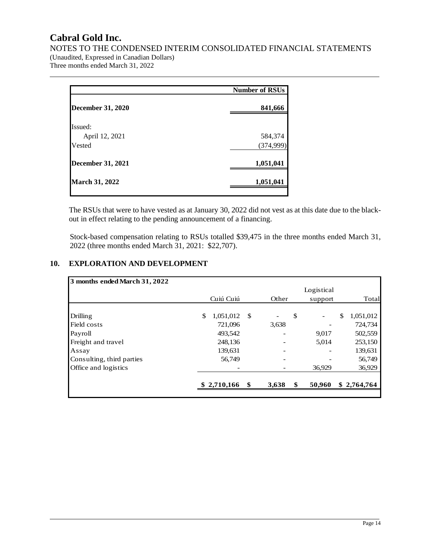NOTES TO THE CONDENSED INTERIM CONSOLIDATED FINANCIAL STATEMENTS

(Unaudited, Expressed in Canadian Dollars) Three months ended March 31, 2022

|                          | <b>Number of RSUs</b> |
|--------------------------|-----------------------|
| <b>December 31, 2020</b> | 841,666               |
| Issued:                  |                       |
| April 12, 2021           | 584,374               |
| Vested                   | (374,999)             |
| <b>December 31, 2021</b> | 1,051,041             |
| <b>March 31, 2022</b>    | 1,051,041             |

The RSUs that were to have vested as at January 30, 2022 did not vest as at this date due to the blackout in effect relating to the pending announcement of a financing.

Stock-based compensation relating to RSUs totalled \$39,475 in the three months ended March 31, 2022 (three months ended March 31, 2021: \$22,707).

## **10. EXPLORATION AND DEVELOPMENT**

| 3 months ended March 31, 2022 |                 |      |       |              |            |                 |
|-------------------------------|-----------------|------|-------|--------------|------------|-----------------|
|                               |                 |      |       |              | Logistical |                 |
|                               | Cuiú Cuiú       |      | Other |              | support    | Total           |
|                               |                 |      |       |              |            |                 |
| Drilling                      | \$<br>1,051,012 | - \$ |       | $\mathbb{S}$ |            | \$<br>1,051,012 |
| Field costs                   | 721,096         |      | 3,638 |              |            | 724,734         |
| Payroll                       | 493,542         |      |       |              | 9,017      | 502,559         |
| Freight and travel            | 248,136         |      |       |              | 5,014      | 253,150         |
| Assay                         | 139,631         |      |       |              |            | 139,631         |
| Consulting, third parties     | 56,749          |      |       |              |            | 56,749          |
| Office and logistics          |                 |      |       |              | 36,929     | 36,929          |
|                               |                 |      |       |              |            |                 |
|                               | \$2,710,166     |      | 3,638 | \$           | 50,960     | \$2,764,764     |
|                               |                 |      |       |              |            |                 |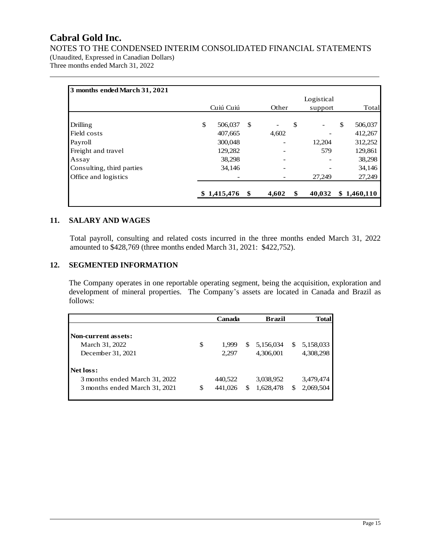NOTES TO THE CONDENSED INTERIM CONSOLIDATED FINANCIAL STATEMENTS

(Unaudited, Expressed in Canadian Dollars) Three months ended March 31, 2022

| 3 months ended March 31, 2021 |               |     |       |              |               |
|-------------------------------|---------------|-----|-------|--------------|---------------|
|                               |               |     |       | Logistical   |               |
|                               | Cuiú Cuiú     |     | Other | support      | Total         |
| Drilling                      | \$<br>506,037 | \$  |       | \$           | \$<br>506,037 |
| Field costs                   | 407,665       |     | 4,602 |              | 412,267       |
| Payroll                       | 300,048       |     |       | 12,204       | 312,252       |
| Freight and travel            | 129,282       |     |       | 579          | 129,861       |
| Assay                         | 38,298        |     |       |              | 38,298        |
| Consulting, third parties     | 34,146        |     |       |              | 34,146        |
| Office and logistics          |               |     |       | 27.249       | 27,249        |
|                               | \$1,415,476   | SS. | 4,602 | \$<br>40,032 | \$1,460,110   |

## **11. SALARY AND WAGES**

Total payroll, consulting and related costs incurred in the three months ended March 31, 2022 amounted to \$428,769 (three months ended March 31, 2021: \$422,752).

## **12. SEGMENTED INFORMATION**

The Company operates in one reportable operating segment, being the acquisition, exploration and development of mineral properties. The Company's assets are located in Canada and Brazil as follows:

|                               |    | Canada  |   |           |   | <b>Total</b> |
|-------------------------------|----|---------|---|-----------|---|--------------|
| <b>Non-current assets:</b>    |    |         |   |           |   |              |
|                               |    |         |   |           |   |              |
| March 31, 2022                | \$ | 1.999   | S | 5,156,034 | S | 5,158,033    |
| December 31, 2021             |    | 2,297   |   | 4,306,001 |   | 4,308,298    |
| Net loss:                     |    |         |   |           |   |              |
| 3 months ended March 31, 2022 |    | 440,522 |   | 3,038,952 |   | 3,479,474    |
| 3 months ended March 31, 2021 | S  | 441,026 | S | 1,628,478 | S | 2,069,504    |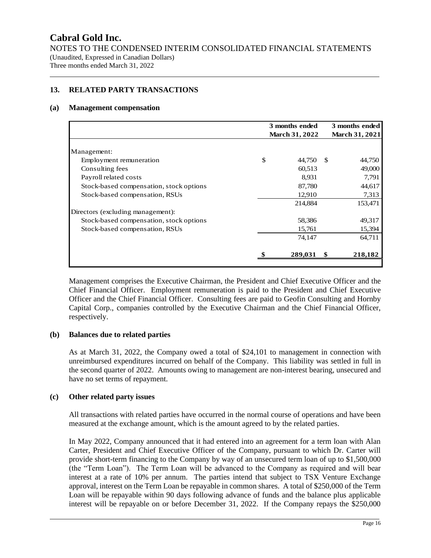NOTES TO THE CONDENSED INTERIM CONSOLIDATED FINANCIAL STATEMENTS (Unaudited, Expressed in Canadian Dollars) Three months ended March 31, 2022

## **13. RELATED PARTY TRANSACTIONS**

#### **(a) Management compensation**

|                                         | 3 months ended |                       |               | 3 months ended |  |  |
|-----------------------------------------|----------------|-----------------------|---------------|----------------|--|--|
|                                         |                | <b>March 31, 2022</b> |               | March 31, 2021 |  |  |
|                                         |                |                       |               |                |  |  |
| Management:                             |                |                       |               |                |  |  |
| Employment remuneration                 | \$             | 44,750                | <sup>\$</sup> | 44,750         |  |  |
| Consulting fees                         |                | 60,513                |               | 49,000         |  |  |
| Payroll related costs                   |                | 8.931                 |               | 7,791          |  |  |
| Stock-based compensation, stock options |                | 87,780                |               | 44,617         |  |  |
| Stock-based compensation, RSUs          |                | 12,910                |               | 7,313          |  |  |
|                                         |                | 214,884               |               | 153,471        |  |  |
| Directors (excluding management):       |                |                       |               |                |  |  |
| Stock-based compensation, stock options |                | 58,386                |               | 49,317         |  |  |
| Stock-based compensation, RSUs          |                | 15,761                |               | 15,394         |  |  |
|                                         |                | 74,147                |               | 64,711         |  |  |
|                                         |                | 289,031               | \$            | 218,182        |  |  |

Management comprises the Executive Chairman, the President and Chief Executive Officer and the Chief Financial Officer. Employment remuneration is paid to the President and Chief Executive Officer and the Chief Financial Officer. Consulting fees are paid to Geofin Consulting and Hornby Capital Corp., companies controlled by the Executive Chairman and the Chief Financial Officer, respectively.

### **(b) Balances due to related parties**

As at March 31, 2022, the Company owed a total of \$24,101 to management in connection with unreimbursed expenditures incurred on behalf of the Company. This liability was settled in full in the second quarter of 2022. Amounts owing to management are non-interest bearing, unsecured and have no set terms of repayment.

#### **(c) Other related party issues**

All transactions with related parties have occurred in the normal course of operations and have been measured at the exchange amount, which is the amount agreed to by the related parties.

In May 2022, Company announced that it had entered into an agreement for a term loan with Alan Carter, President and Chief Executive Officer of the Company, pursuant to which Dr. Carter will provide short-term financing to the Company by way of an unsecured term loan of up to \$1,500,000 (the "Term Loan"). The Term Loan will be advanced to the Company as required and will bear interest at a rate of 10% per annum. The parties intend that subject to TSX Venture Exchange approval, interest on the Term Loan be repayable in common shares. A total of \$250,000 of the Term Loan will be repayable within 90 days following advance of funds and the balance plus applicable interest will be repayable on or before December 31, 2022. If the Company repays the \$250,000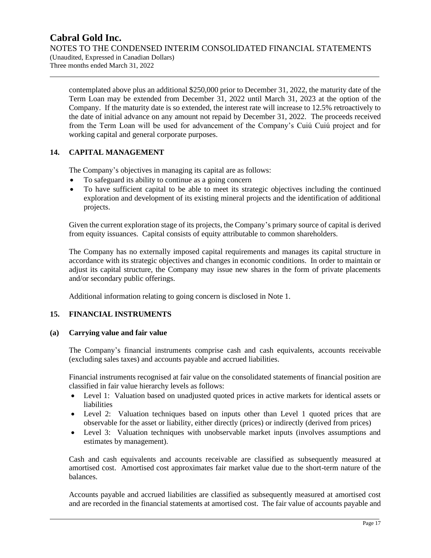## **Cabral Gold Inc.** NOTES TO THE CONDENSED INTERIM CONSOLIDATED FINANCIAL STATEMENTS (Unaudited, Expressed in Canadian Dollars)

Three months ended March 31, 2022

contemplated above plus an additional \$250,000 prior to December 31, 2022, the maturity date of the Term Loan may be extended from December 31, 2022 until March 31, 2023 at the option of the Company. If the maturity date is so extended, the interest rate will increase to 12.5% retroactively to the date of initial advance on any amount not repaid by December 31, 2022. The proceeds received from the Term Loan will be used for advancement of the Company's Cuiú Cuiú project and for working capital and general corporate purposes.

## **14. CAPITAL MANAGEMENT**

The Company's objectives in managing its capital are as follows:

- To safeguard its ability to continue as a going concern
- To have sufficient capital to be able to meet its strategic objectives including the continued exploration and development of its existing mineral projects and the identification of additional projects.

Given the current exploration stage of its projects, the Company's primary source of capital is derived from equity issuances. Capital consists of equity attributable to common shareholders.

The Company has no externally imposed capital requirements and manages its capital structure in accordance with its strategic objectives and changes in economic conditions. In order to maintain or adjust its capital structure, the Company may issue new shares in the form of private placements and/or secondary public offerings.

Additional information relating to going concern is disclosed in Note 1.

## **15. FINANCIAL INSTRUMENTS**

## **(a) Carrying value and fair value**

The Company's financial instruments comprise cash and cash equivalents, accounts receivable (excluding sales taxes) and accounts payable and accrued liabilities.

Financial instruments recognised at fair value on the consolidated statements of financial position are classified in fair value hierarchy levels as follows:

- Level 1: Valuation based on unadjusted quoted prices in active markets for identical assets or liabilities
- Level 2: Valuation techniques based on inputs other than Level 1 quoted prices that are observable for the asset or liability, either directly (prices) or indirectly (derived from prices)
- Level 3: Valuation techniques with unobservable market inputs (involves assumptions and estimates by management).

Cash and cash equivalents and accounts receivable are classified as subsequently measured at amortised cost. Amortised cost approximates fair market value due to the short-term nature of the balances.

Accounts payable and accrued liabilities are classified as subsequently measured at amortised cost and are recorded in the financial statements at amortised cost. The fair value of accounts payable and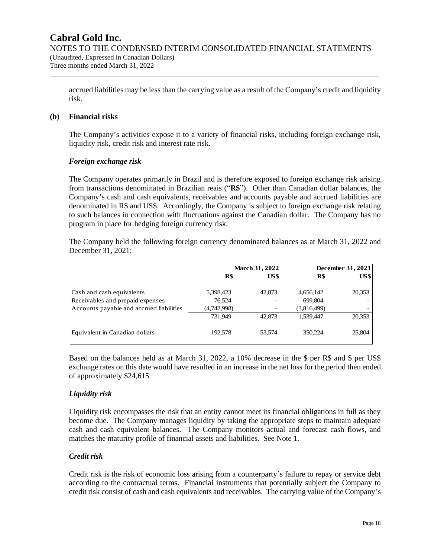accrued liabilities may be less than the carrying value as a result of the Company's credit and liquidity risk.

## **(b) Financial risks**

The Company's activities expose it to a variety of financial risks, including foreign exchange risk, liquidity risk, credit risk and interest rate risk.

## *Foreign exchange risk*

The Company operates primarily in Brazil and is therefore exposed to foreign exchange risk arising from transactions denominated in Brazilian reais ("**R\$**"). Other than Canadian dollar balances, the Company's cash and cash equivalents, receivables and accounts payable and accrued liabilities are denominated in R\$ and US\$. Accordingly, the Company is subject to foreign exchange risk relating to such balances in connection with fluctuations against the Canadian dollar. The Company has no program in place for hedging foreign currency risk.

The Company held the following foreign currency denominated balances as at March 31, 2022 and December 31, 2021:

|                                          |             | <b>March 31, 2022</b> |                 | December 31, 2021 |
|------------------------------------------|-------------|-----------------------|-----------------|-------------------|
|                                          | R\$         | US\$                  | $\mathbf{R}$ \$ | US\$              |
| Cash and cash equivalents                | 5,398,423   | 42,873                | 4,656,142       | 20,353            |
| Receivables and prepaid expenses         | 76,524      |                       | 699,804         |                   |
| Accounts payable and accrued liabilities | (4,742,998) |                       | (3,816,499)     |                   |
|                                          | 731.949     | 42,873                | 1,539,447       | 20,353            |
| Equivalent in Canadian dollars           | 192,578     | 53.574                | 350,224         | 25,804            |

Based on the balances held as at March 31, 2022, a 10% decrease in the \$ per R\$ and \$ per US\$ exchange rates on this date would have resulted in an increase in the net loss for the period then ended of approximately \$24,615.

## *Liquidity risk*

Liquidity risk encompasses the risk that an entity cannot meet its financial obligations in full as they become due. The Company manages liquidity by taking the appropriate steps to maintain adequate cash and cash equivalent balances. The Company monitors actual and forecast cash flows, and matches the maturity profile of financial assets and liabilities. See Note 1.

### *Credit risk*

Credit risk is the risk of economic loss arising from a counterparty's failure to repay or service debt according to the contractual terms. Financial instruments that potentially subject the Company to credit risk consist of cash and cash equivalents and receivables. The carrying value of the Company's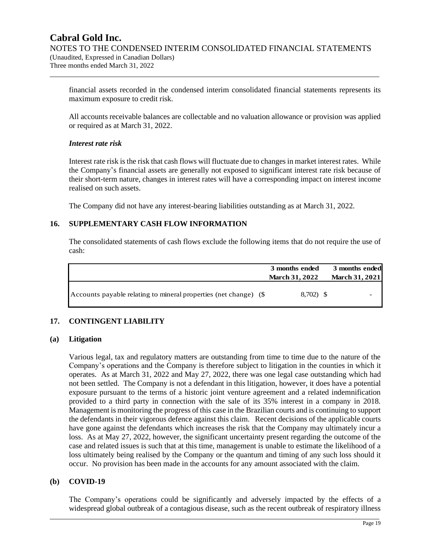financial assets recorded in the condensed interim consolidated financial statements represents its maximum exposure to credit risk.

All accounts receivable balances are collectable and no valuation allowance or provision was applied or required as at March 31, 2022.

### *Interest rate risk*

Interest rate risk is the risk that cash flows will fluctuate due to changes in market interest rates. While the Company's financial assets are generally not exposed to significant interest rate risk because of their short-term nature, changes in interest rates will have a corresponding impact on interest income realised on such assets.

The Company did not have any interest-bearing liabilities outstanding as at March 31, 2022.

## **16. SUPPLEMENTARY CASH FLOW INFORMATION**

The consolidated statements of cash flows exclude the following items that do not require the use of cash:

|                                                                  | 3 months ended<br><b>March 31, 2022</b> | 3 months ended<br><b>March 31, 2021</b> |
|------------------------------------------------------------------|-----------------------------------------|-----------------------------------------|
| Accounts payable relating to mineral properties (net change) (\$ | $8,702$ \$                              |                                         |

## **17. CONTINGENT LIABILITY**

### **(a) Litigation**

Various legal, tax and regulatory matters are outstanding from time to time due to the nature of the Company's operations and the Company is therefore subject to litigation in the counties in which it operates. As at March 31, 2022 and May 27, 2022, there was one legal case outstanding which had not been settled. The Company is not a defendant in this litigation, however, it does have a potential exposure pursuant to the terms of a historic joint venture agreement and a related indemnification provided to a third party in connection with the sale of its 35% interest in a company in 2018. Management is monitoring the progress of this case in the Brazilian courts and is continuing to support the defendants in their vigorous defence against this claim. Recent decisions of the applicable courts have gone against the defendants which increases the risk that the Company may ultimately incur a loss. As at May 27, 2022, however, the significant uncertainty present regarding the outcome of the case and related issues is such that at this time, management is unable to estimate the likelihood of a loss ultimately being realised by the Company or the quantum and timing of any such loss should it occur. No provision has been made in the accounts for any amount associated with the claim.

### **(b) COVID-19**

The Company's operations could be significantly and adversely impacted by the effects of a widespread global outbreak of a contagious disease, such as the recent outbreak of respiratory illness